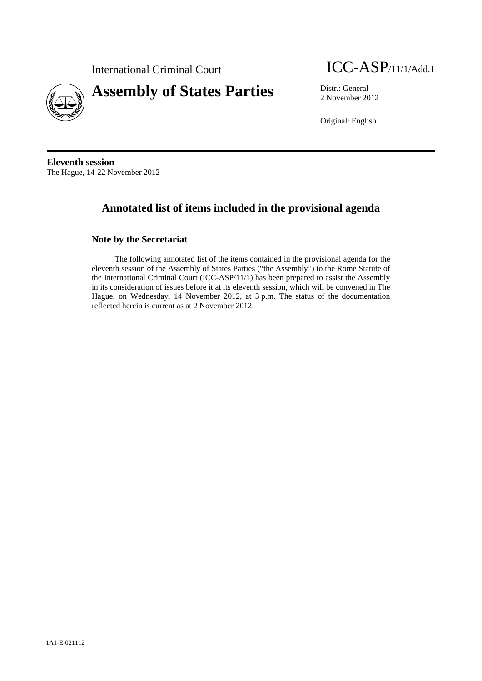



2 November 2012

Original: English

**Eleventh session**  The Hague, 14-22 November 2012

# **Annotated list of items included in the provisional agenda**

## **Note by the Secretariat**

The following annotated list of the items contained in the provisional agenda for the eleventh session of the Assembly of States Parties ("the Assembly") to the Rome Statute of the International Criminal Court (ICC-ASP/11/1) has been prepared to assist the Assembly in its consideration of issues before it at its eleventh session, which will be convened in The Hague, on Wednesday, 14 November 2012, at 3 p.m. The status of the documentation reflected herein is current as at 2 November 2012.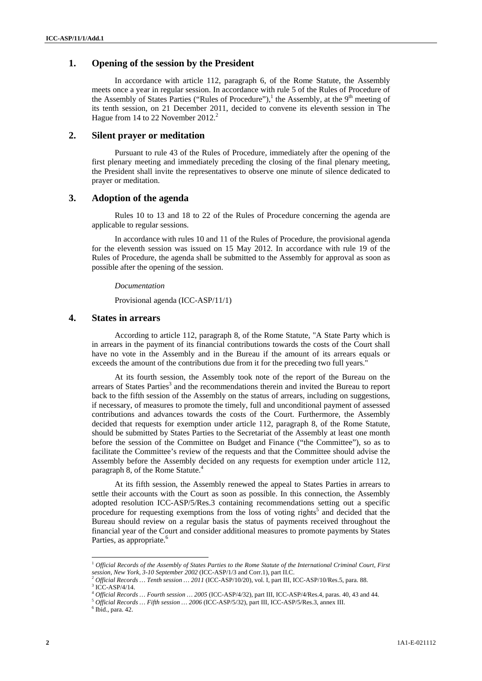## **1. Opening of the session by the President**

In accordance with article 112, paragraph 6, of the Rome Statute, the Assembly meets once a year in regular session. In accordance with rule 5 of the Rules of Procedure of the Assembly of States Parties ("Rules of Procedure"),<sup>1</sup> the Assembly, at the 9<sup>th</sup> meeting of its tenth session, on 21 December 2011, decided to convene its eleventh session in The Hague from 14 to 22 November  $2012.<sup>2</sup>$ 

### **2. Silent prayer or meditation**

Pursuant to rule 43 of the Rules of Procedure, immediately after the opening of the first plenary meeting and immediately preceding the closing of the final plenary meeting, the President shall invite the representatives to observe one minute of silence dedicated to prayer or meditation.

### **3. Adoption of the agenda**

Rules 10 to 13 and 18 to 22 of the Rules of Procedure concerning the agenda are applicable to regular sessions.

In accordance with rules 10 and 11 of the Rules of Procedure, the provisional agenda for the eleventh session was issued on 15 May 2012. In accordance with rule 19 of the Rules of Procedure, the agenda shall be submitted to the Assembly for approval as soon as possible after the opening of the session.

#### *Documentation*

Provisional agenda (ICC-ASP/11/1)

### **4. States in arrears**

According to article 112, paragraph 8, of the Rome Statute, "A State Party which is in arrears in the payment of its financial contributions towards the costs of the Court shall have no vote in the Assembly and in the Bureau if the amount of its arrears equals or exceeds the amount of the contributions due from it for the preceding two full years."

At its fourth session, the Assembly took note of the report of the Bureau on the arrears of States Parties<sup>3</sup> and the recommendations therein and invited the Bureau to report back to the fifth session of the Assembly on the status of arrears, including on suggestions, if necessary, of measures to promote the timely, full and unconditional payment of assessed contributions and advances towards the costs of the Court. Furthermore, the Assembly decided that requests for exemption under article 112, paragraph 8, of the Rome Statute, should be submitted by States Parties to the Secretariat of the Assembly at least one month before the session of the Committee on Budget and Finance ("the Committee"), so as to facilitate the Committee's review of the requests and that the Committee should advise the Assembly before the Assembly decided on any requests for exemption under article 112, paragraph 8, of the Rome Statute.<sup>4</sup>

At its fifth session, the Assembly renewed the appeal to States Parties in arrears to settle their accounts with the Court as soon as possible. In this connection, the Assembly adopted resolution ICC-ASP/5/Res.3 containing recommendations setting out a specific procedure for requesting exemptions from the loss of voting rights<sup>5</sup> and decided that the Bureau should review on a regular basis the status of payments received throughout the financial year of the Court and consider additional measures to promote payments by States Parties, as appropriate.<sup>6</sup>

l

<sup>&</sup>lt;sup>1</sup> *Official Records of the Assembly of States Parties to the Rome Statute of the International Criminal Court, First session, New York, 3-10 September 2002 (ICC-ASP/1/3 and Corr.1), part II.C.* 

*Sefficial Records … Tenth session … 2011* (ICC-ASP/10/20), vol. I, part III, ICC-ASP/10/Res.5, para. 88.

 $\frac{3 \text{ TCC}-\text{ASP}/4/14}{10 \text{C-C}-\text{ASP}/4/14}$ .<br> $\frac{1}{10 \text{C-C}-\text{ASP}/4/14}$ ... Fourth session ... 2005 (ICC-ASP/4/32), part III, ICC-ASP/4/Res.4, paras. 40, 43 and 44.

 $^5$  *Official Records … Fifth session … 2006* (ICC-ASP/5/32), part III, ICC-ASP/5/Res.3, annex III.

 $6$  Ibid., para. 42.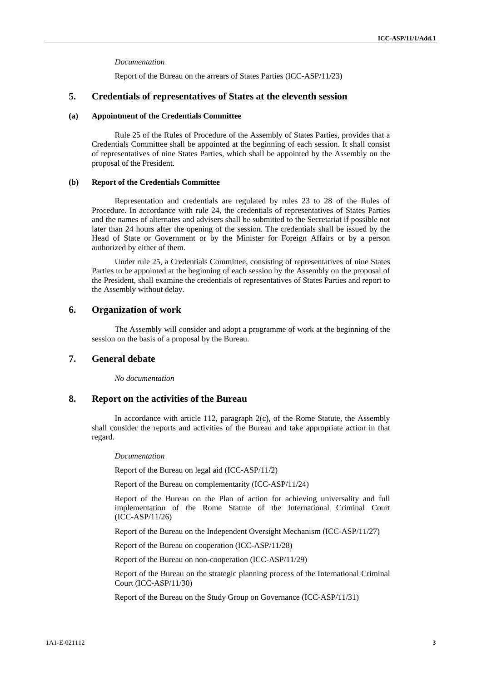#### *Documentation*

Report of the Bureau on the arrears of States Parties (ICC-ASP/11/23)

### **5. Credentials of representatives of States at the eleventh session**

#### **(a) Appointment of the Credentials Committee**

Rule 25 of the Rules of Procedure of the Assembly of States Parties, provides that a Credentials Committee shall be appointed at the beginning of each session. It shall consist of representatives of nine States Parties, which shall be appointed by the Assembly on the proposal of the President.

#### **(b) Report of the Credentials Committee**

Representation and credentials are regulated by rules 23 to 28 of the Rules of Procedure. In accordance with rule 24, the credentials of representatives of States Parties and the names of alternates and advisers shall be submitted to the Secretariat if possible not later than 24 hours after the opening of the session. The credentials shall be issued by the Head of State or Government or by the Minister for Foreign Affairs or by a person authorized by either of them.

Under rule 25, a Credentials Committee, consisting of representatives of nine States Parties to be appointed at the beginning of each session by the Assembly on the proposal of the President, shall examine the credentials of representatives of States Parties and report to the Assembly without delay.

### **6. Organization of work**

The Assembly will consider and adopt a programme of work at the beginning of the session on the basis of a proposal by the Bureau.

## **7. General debate**

*No documentation* 

### **8. Report on the activities of the Bureau**

In accordance with article 112, paragraph 2(c), of the Rome Statute, the Assembly shall consider the reports and activities of the Bureau and take appropriate action in that regard.

### *Documentation*

Report of the Bureau on legal aid (ICC-ASP/11/2)

Report of the Bureau on complementarity (ICC-ASP/11/24)

Report of the Bureau on the Plan of action for achieving universality and full implementation of the Rome Statute of the International Criminal Court (ICC-ASP/11/26)

Report of the Bureau on the Independent Oversight Mechanism (ICC-ASP/11/27)

Report of the Bureau on cooperation (ICC-ASP/11/28)

Report of the Bureau on non-cooperation (ICC-ASP/11/29)

Report of the Bureau on the strategic planning process of the International Criminal Court (ICC-ASP/11/30)

Report of the Bureau on the Study Group on Governance (ICC-ASP/11/31)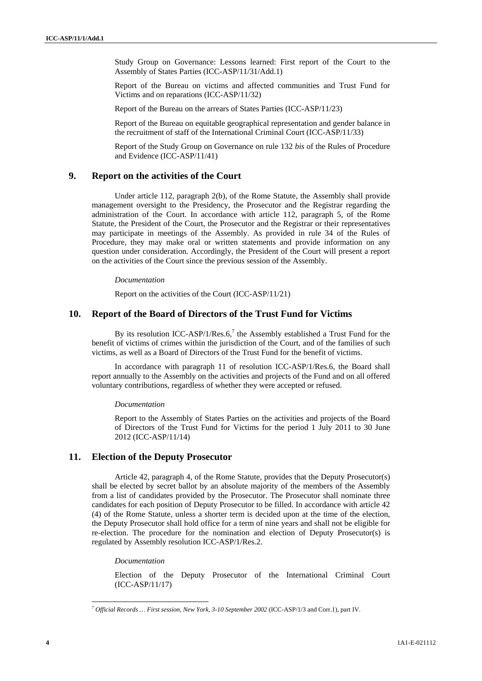Study Group on Governance: Lessons learned: First report of the Court to the Assembly of States Parties (ICC-ASP/11/31/Add.1)

Report of the Bureau on victims and affected communities and Trust Fund for Victims and on reparations (ICC-ASP/11/32)

Report of the Bureau on the arrears of States Parties (ICC-ASP/11/23)

Report of the Bureau on equitable geographical representation and gender balance in the recruitment of staff of the International Criminal Court (ICC-ASP/11/33)

Report of the Study Group on Governance on rule 132 *bis* of the Rules of Procedure and Evidence (ICC-ASP/11/41)

## **9. Report on the activities of the Court**

Under article 112, paragraph 2(b), of the Rome Statute, the Assembly shall provide management oversight to the Presidency, the Prosecutor and the Registrar regarding the administration of the Court. In accordance with article 112, paragraph 5, of the Rome Statute, the President of the Court, the Prosecutor and the Registrar or their representatives may participate in meetings of the Assembly. As provided in rule 34 of the Rules of Procedure, they may make oral or written statements and provide information on any question under consideration. Accordingly, the President of the Court will present a report on the activities of the Court since the previous session of the Assembly.

### *Documentation*

Report on the activities of the Court (ICC-ASP/11/21)

## **10. Report of the Board of Directors of the Trust Fund for Victims**

By its resolution ICC-ASP/1/Res.6,<sup>7</sup> the Assembly established a Trust Fund for the benefit of victims of crimes within the jurisdiction of the Court, and of the families of such victims, as well as a Board of Directors of the Trust Fund for the benefit of victims.

In accordance with paragraph 11 of resolution ICC-ASP/1/Res.6, the Board shall report annually to the Assembly on the activities and projects of the Fund and on all offered voluntary contributions, regardless of whether they were accepted or refused.

#### *Documentation*

Report to the Assembly of States Parties on the activities and projects of the Board of Directors of the Trust Fund for Victims for the period 1 July 2011 to 30 June 2012 (ICC-ASP/11/14)

### **11. Election of the Deputy Prosecutor**

Article 42, paragraph 4, of the Rome Statute, provides that the Deputy Prosecutor(s) shall be elected by secret ballot by an absolute majority of the members of the Assembly from a list of candidates provided by the Prosecutor. The Prosecutor shall nominate three candidates for each position of Deputy Prosecutor to be filled. In accordance with article 42 (4) of the Rome Statute, unless a shorter term is decided upon at the time of the election, the Deputy Prosecutor shall hold office for a term of nine years and shall not be eligible for re-election. The procedure for the nomination and election of Deputy Prosecutor(s) is regulated by Assembly resolution ICC-ASP/1/Res.2.

#### *Documentation*

Election of the Deputy Prosecutor of the International Criminal Court (ICC-ASP/11/17)

l

<sup>7</sup> *Official Records … First session, New York, 3-10 September 2002* (ICC-ASP/1/3 and Corr.1), part IV.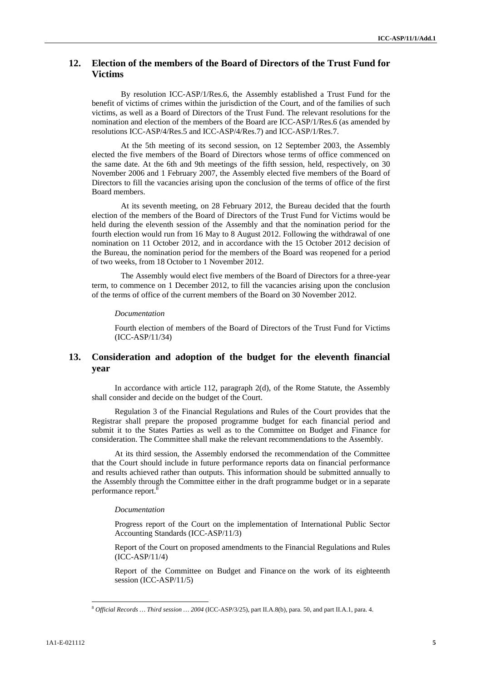## **12. Election of the members of the Board of Directors of the Trust Fund for Victims**

By resolution ICC-ASP/1/Res.6, the Assembly established a Trust Fund for the benefit of victims of crimes within the jurisdiction of the Court, and of the families of such victims, as well as a Board of Directors of the Trust Fund. The relevant resolutions for the nomination and election of the members of the Board are ICC-ASP/1/Res.6 (as amended by resolutions ICC-ASP/4/Res.5 and ICC-ASP/4/Res.7) and ICC-ASP/1/Res.7.

At the 5th meeting of its second session, on 12 September 2003, the Assembly elected the five members of the Board of Directors whose terms of office commenced on the same date. At the 6th and 9th meetings of the fifth session, held, respectively, on 30 November 2006 and 1 February 2007, the Assembly elected five members of the Board of Directors to fill the vacancies arising upon the conclusion of the terms of office of the first Board members.

At its seventh meeting, on 28 February 2012, the Bureau decided that the fourth election of the members of the Board of Directors of the Trust Fund for Victims would be held during the eleventh session of the Assembly and that the nomination period for the fourth election would run from 16 May to 8 August 2012. Following the withdrawal of one nomination on 11 October 2012, and in accordance with the 15 October 2012 decision of the Bureau, the nomination period for the members of the Board was reopened for a period of two weeks, from 18 October to 1 November 2012.

The Assembly would elect five members of the Board of Directors for a three-year term, to commence on 1 December 2012, to fill the vacancies arising upon the conclusion of the terms of office of the current members of the Board on 30 November 2012.

*Documentation* 

Fourth election of members of the Board of Directors of the Trust Fund for Victims (ICC-ASP/11/34)

## **13. Consideration and adoption of the budget for the eleventh financial year**

In accordance with article 112, paragraph 2(d), of the Rome Statute, the Assembly shall consider and decide on the budget of the Court.

Regulation 3 of the Financial Regulations and Rules of the Court provides that the Registrar shall prepare the proposed programme budget for each financial period and submit it to the States Parties as well as to the Committee on Budget and Finance for consideration. The Committee shall make the relevant recommendations to the Assembly.

At its third session, the Assembly endorsed the recommendation of the Committee that the Court should include in future performance reports data on financial performance and results achieved rather than outputs. This information should be submitted annually to the Assembly through the Committee either in the draft programme budget or in a separate performance report.<sup>8</sup>

#### *Documentation*

Progress report of the Court on the implementation of International Public Sector Accounting Standards (ICC-ASP/11/3)

Report of the Court on proposed amendments to the Financial Regulations and Rules (ICC-ASP/11/4)

Report of the Committee on Budget and Finance on the work of its eighteenth session (ICC-ASP/11/5)

l

<sup>8</sup> *Official Records … Third session … 2004* (ICC-ASP/3/25), part II.A.8(b), para. 50, and part II.A.1, para. 4.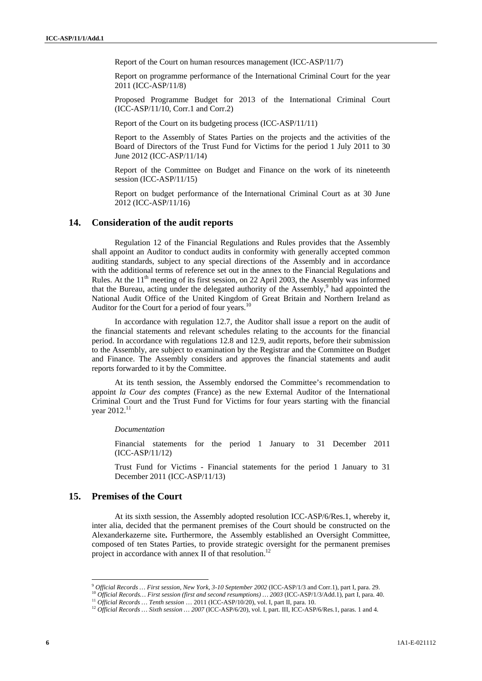Report of the Court on human resources management (ICC-ASP/11/7)

Report on programme performance of the International Criminal Court for the year 2011 (ICC-ASP/11/8)

Proposed Programme Budget for 2013 of the International Criminal Court (ICC-ASP/11/10, Corr.1 and Corr.2)

Report of the Court on its budgeting process (ICC-ASP/11/11)

Report to the Assembly of States Parties on the projects and the activities of the Board of Directors of the Trust Fund for Victims for the period 1 July 2011 to 30 June 2012 (ICC-ASP/11/14)

Report of the Committee on Budget and Finance on the work of its nineteenth session (ICC-ASP/11/15)

Report on budget performance of the International Criminal Court as at 30 June 2012 (ICC-ASP/11/16)

### **14. Consideration of the audit reports**

Regulation 12 of the Financial Regulations and Rules provides that the Assembly shall appoint an Auditor to conduct audits in conformity with generally accepted common auditing standards, subject to any special directions of the Assembly and in accordance with the additional terms of reference set out in the annex to the Financial Regulations and Rules. At the  $11<sup>th</sup>$  meeting of its first session, on 22 April 2003, the Assembly was informed that the Bureau, acting under the delegated authority of the Assembly, $9$  had appointed the National Audit Office of the United Kingdom of Great Britain and Northern Ireland as Auditor for the Court for a period of four years.<sup>10</sup>

In accordance with regulation 12.7, the Auditor shall issue a report on the audit of the financial statements and relevant schedules relating to the accounts for the financial period. In accordance with regulations 12.8 and 12.9, audit reports, before their submission to the Assembly, are subject to examination by the Registrar and the Committee on Budget and Finance. The Assembly considers and approves the financial statements and audit reports forwarded to it by the Committee.

At its tenth session, the Assembly endorsed the Committee's recommendation to appoint *la Cour des comptes* (France) as the new External Auditor of the International Criminal Court and the Trust Fund for Victims for four years starting with the financial year 2012.<sup>11</sup>

*Documentation* 

Financial statements for the period 1 January to 31 December 2011 (ICC-ASP/11/12)

Trust Fund for Victims - Financial statements for the period 1 January to 31 December 2011 (ICC-ASP/11/13)

## **15. Premises of the Court**

 $\overline{a}$ 

At its sixth session, the Assembly adopted resolution ICC-ASP/6/Res.1, whereby it, inter alia, decided that the permanent premises of the Court should be constructed on the Alexanderkazerne site**.** Furthermore, the Assembly established an Oversight Committee, composed of ten States Parties, to provide strategic oversight for the permanent premises project in accordance with annex II of that resolution.<sup>12</sup>

<sup>&</sup>lt;sup>9</sup> Official Records ... First session, New York, 3-10 September 2002 (ICC-ASP/1/3 and Corr.1), part I, para. 29.<br><sup>10</sup> Official Records... First session (first and second resumptions) ... 2003 (ICC-ASP/1/3/Add.1), part I,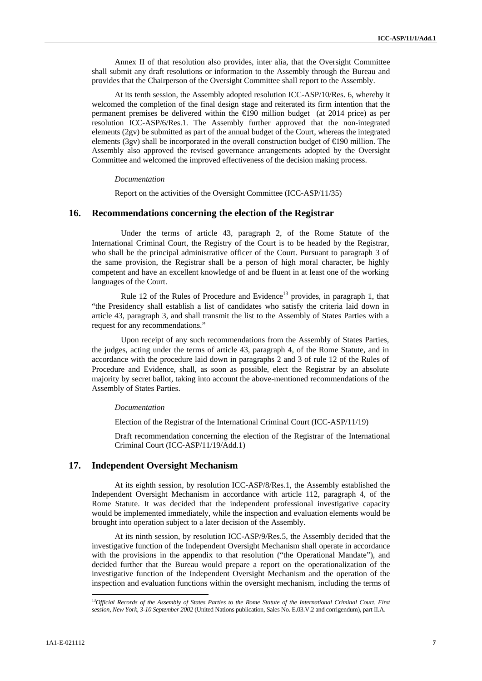Annex II of that resolution also provides, inter alia, that the Oversight Committee shall submit any draft resolutions or information to the Assembly through the Bureau and provides that the Chairperson of the Oversight Committee shall report to the Assembly.

At its tenth session, the Assembly adopted resolution ICC-ASP/10/Res. 6, whereby it welcomed the completion of the final design stage and reiterated its firm intention that the permanent premises be delivered within the  $\epsilon$ 190 million budget (at 2014 price) as per resolution ICC-ASP/6/Res.1. The Assembly further approved that the non-integrated elements (2gv) be submitted as part of the annual budget of the Court, whereas the integrated elements (3gv) shall be incorporated in the overall construction budget of  $\bigoplus$ 90 million. The Assembly also approved the revised governance arrangements adopted by the Oversight Committee and welcomed the improved effectiveness of the decision making process.

#### *Documentation*

Report on the activities of the Oversight Committee (ICC-ASP/11/35)

### **16. Recommendations concerning the election of the Registrar**

Under the terms of article 43, paragraph 2, of the Rome Statute of the International Criminal Court, the Registry of the Court is to be headed by the Registrar, who shall be the principal administrative officer of the Court. Pursuant to paragraph 3 of the same provision, the Registrar shall be a person of high moral character, be highly competent and have an excellent knowledge of and be fluent in at least one of the working languages of the Court.

Rule 12 of the Rules of Procedure and Evidence<sup>13</sup> provides, in paragraph 1, that "the Presidency shall establish a list of candidates who satisfy the criteria laid down in article 43, paragraph 3, and shall transmit the list to the Assembly of States Parties with a request for any recommendations."

Upon receipt of any such recommendations from the Assembly of States Parties, the judges, acting under the terms of article 43, paragraph 4, of the Rome Statute, and in accordance with the procedure laid down in paragraphs 2 and 3 of rule 12 of the Rules of Procedure and Evidence, shall, as soon as possible, elect the Registrar by an absolute majority by secret ballot, taking into account the above-mentioned recommendations of the Assembly of States Parties.

#### *Documentation*

Election of the Registrar of the International Criminal Court (ICC-ASP/11/19)

Draft recommendation concerning the election of the Registrar of the International Criminal Court (ICC-ASP/11/19/Add.1)

## **17. Independent Oversight Mechanism**

At its eighth session, by resolution ICC-ASP/8/Res.1, the Assembly established the Independent Oversight Mechanism in accordance with article 112, paragraph 4, of the Rome Statute. It was decided that the independent professional investigative capacity would be implemented immediately, while the inspection and evaluation elements would be brought into operation subject to a later decision of the Assembly.

At its ninth session, by resolution ICC-ASP/9/Res.5, the Assembly decided that the investigative function of the Independent Oversight Mechanism shall operate in accordance with the provisions in the appendix to that resolution ("the Operational Mandate"), and decided further that the Bureau would prepare a report on the operationalization of the investigative function of the Independent Oversight Mechanism and the operation of the inspection and evaluation functions within the oversight mechanism, including the terms of

 $\overline{a}$ 

<sup>13</sup>*Official Records of the Assembly of States Parties to the Rome Statute of the International Criminal Court, First session, New York, 3-10 September 2002* (United Nations publication, Sales No. E.03.V.2 and corrigendum), part II.A.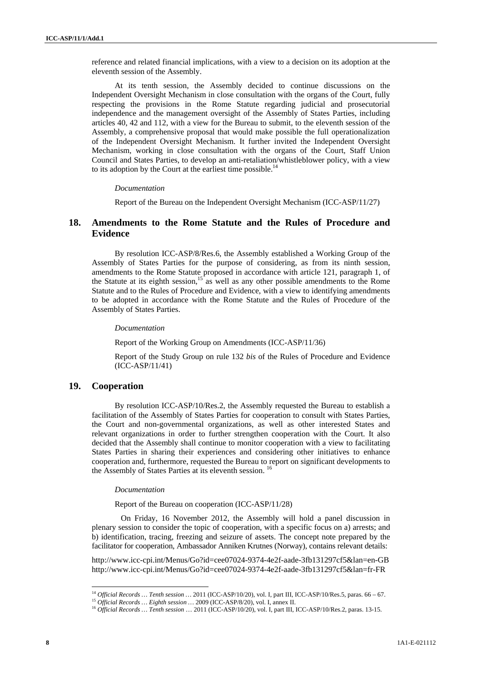reference and related financial implications, with a view to a decision on its adoption at the eleventh session of the Assembly.

At its tenth session, the Assembly decided to continue discussions on the Independent Oversight Mechanism in close consultation with the organs of the Court, fully respecting the provisions in the Rome Statute regarding judicial and prosecutorial independence and the management oversight of the Assembly of States Parties, including articles 40, 42 and 112, with a view for the Bureau to submit, to the eleventh session of the Assembly, a comprehensive proposal that would make possible the full operationalization of the Independent Oversight Mechanism. It further invited the Independent Oversight Mechanism, working in close consultation with the organs of the Court, Staff Union Council and States Parties, to develop an anti-retaliation/whistleblower policy, with a view to its adoption by the Court at the earliest time possible. $<sup>14</sup>$ </sup>

#### *Documentation*

Report of the Bureau on the Independent Oversight Mechanism (ICC-ASP/11/27)

## **18. Amendments to the Rome Statute and the Rules of Procedure and Evidence**

By resolution ICC-ASP/8/Res.6, the Assembly established a Working Group of the Assembly of States Parties for the purpose of considering, as from its ninth session, amendments to the Rome Statute proposed in accordance with article 121, paragraph 1, of the Statute at its eighth session, $15$  as well as any other possible amendments to the Rome Statute and to the Rules of Procedure and Evidence, with a view to identifying amendments to be adopted in accordance with the Rome Statute and the Rules of Procedure of the Assembly of States Parties.

#### *Documentation*

Report of the Working Group on Amendments (ICC-ASP/11/36)

Report of the Study Group on rule 132 *bis* of the Rules of Procedure and Evidence (ICC-ASP/11/41)

## **19. Cooperation**

l

By resolution ICC-ASP/10/Res.2, the Assembly requested the Bureau to establish a facilitation of the Assembly of States Parties for cooperation to consult with States Parties, the Court and non-governmental organizations, as well as other interested States and relevant organizations in order to further strengthen cooperation with the Court. It also decided that the Assembly shall continue to monitor cooperation with a view to facilitating States Parties in sharing their experiences and considering other initiatives to enhance cooperation and, furthermore, requested the Bureau to report on significant developments to the Assembly of States Parties at its eleventh session.<sup>16</sup>

#### *Documentation*

Report of the Bureau on cooperation (ICC-ASP/11/28)

On Friday, 16 November 2012, the Assembly will hold a panel discussion in plenary session to consider the topic of cooperation, with a specific focus on a) arrests; and b) identification, tracing, freezing and seizure of assets. The concept note prepared by the facilitator for cooperation, Ambassador Anniken Krutnes (Norway), contains relevant details:

http://www.icc-cpi.int/Menus/Go?id=cee07024-9374-4e2f-aade-3fb131297cf5&lan=en-GB http://www.icc-cpi.int/Menus/Go?id=cee07024-9374-4e2f-aade-3fb131297cf5&lan=fr-FR

<sup>&</sup>lt;sup>14</sup> Official Records ... Tenth session ... 2011 (ICC-ASP/10/20), vol. I, part III, ICC-ASP/10/Res.5, paras. 66 – 67.<br><sup>15</sup> Official Records ... Eighth session ... 2009 (ICC-ASP/8/20), vol. I, annex II.<br><sup>16</sup> Official Record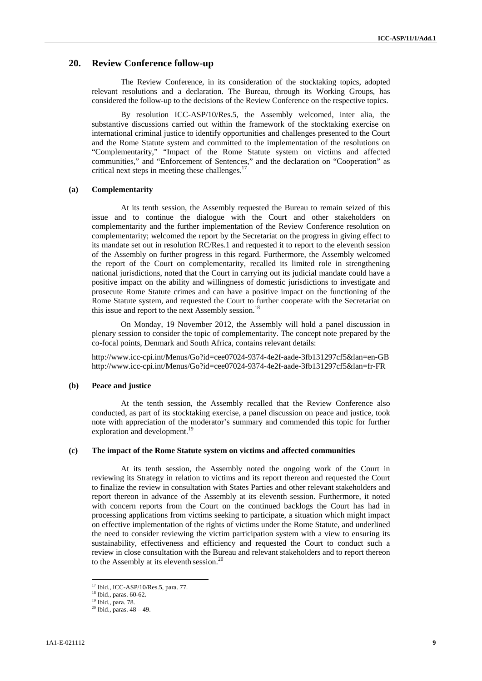### **20. Review Conference follow-up**

The Review Conference, in its consideration of the stocktaking topics, adopted relevant resolutions and a declaration. The Bureau, through its Working Groups, has considered the follow-up to the decisions of the Review Conference on the respective topics.

By resolution ICC-ASP/10/Res.5, the Assembly welcomed, inter alia, the substantive discussions carried out within the framework of the stocktaking exercise on international criminal justice to identify opportunities and challenges presented to the Court and the Rome Statute system and committed to the implementation of the resolutions on "Complementarity," "Impact of the Rome Statute system on victims and affected communities," and "Enforcement of Sentences," and the declaration on "Cooperation" as critical next steps in meeting these challenges.<sup>1</sup>

### **(a) Complementarity**

At its tenth session, the Assembly requested the Bureau to remain seized of this issue and to continue the dialogue with the Court and other stakeholders on complementarity and the further implementation of the Review Conference resolution on complementarity; welcomed the report by the Secretariat on the progress in giving effect to its mandate set out in resolution RC/Res.1 and requested it to report to the eleventh session of the Assembly on further progress in this regard. Furthermore, the Assembly welcomed the report of the Court on complementarity, recalled its limited role in strengthening national jurisdictions, noted that the Court in carrying out its judicial mandate could have a positive impact on the ability and willingness of domestic jurisdictions to investigate and prosecute Rome Statute crimes and can have a positive impact on the functioning of the Rome Statute system, and requested the Court to further cooperate with the Secretariat on this issue and report to the next Assembly session.<sup>18</sup>

On Monday, 19 November 2012, the Assembly will hold a panel discussion in plenary session to consider the topic of complementarity. The concept note prepared by the co-focal points, Denmark and South Africa, contains relevant details:

http://www.icc-cpi.int/Menus/Go?id=cee07024-9374-4e2f-aade-3fb131297cf5&lan=en-GB http://www.icc-cpi.int/Menus/Go?id=cee07024-9374-4e2f-aade-3fb131297cf5&lan=fr-FR

### **(b) Peace and justice**

At the tenth session, the Assembly recalled that the Review Conference also conducted, as part of its stocktaking exercise, a panel discussion on peace and justice, took note with appreciation of the moderator's summary and commended this topic for further exploration and development.<sup>1</sup>

#### **(c) The impact of the Rome Statute system on victims and affected communities**

At its tenth session, the Assembly noted the ongoing work of the Court in reviewing its Strategy in relation to victims and its report thereon and requested the Court to finalize the review in consultation with States Parties and other relevant stakeholders and report thereon in advance of the Assembly at its eleventh session. Furthermore, it noted with concern reports from the Court on the continued backlogs the Court has had in processing applications from victims seeking to participate, a situation which might impact on effective implementation of the rights of victims under the Rome Statute, and underlined the need to consider reviewing the victim participation system with a view to ensuring its sustainability, effectiveness and efficiency and requested the Court to conduct such a review in close consultation with the Bureau and relevant stakeholders and to report thereon to the Assembly at its eleventh session.<sup>20</sup>

 $\overline{a}$ 

<sup>17</sup> Ibid., ICC-ASP/10/Res.5, para. 77.

<sup>18</sup> Ibid., paras. 60-62.

<sup>19</sup> Ibid., para. 78.

 $20$  Ibid., paras.  $48 - 49$ .